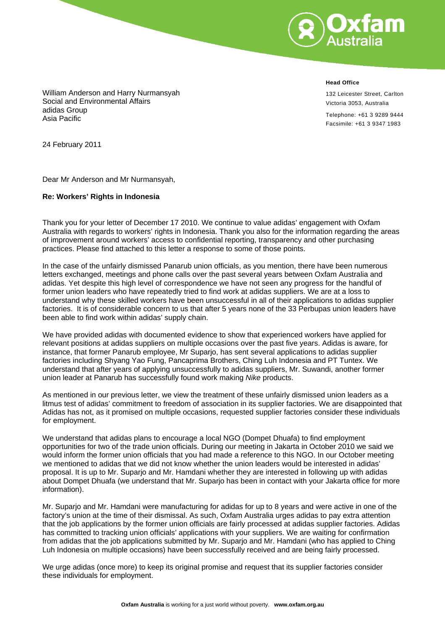

**Head Office**

132 Leicester Street, Carlton Victoria 3053, Australia

Telephone: +61 3 9289 9444 Facsimile: +61 3 9347 1983

William Anderson and Harry Nurmansyah Social and Environmental Affairs adidas Group Asia Pacific

24 February 2011

Dear Mr Anderson and Mr Nurmansyah,

## **Re: Workers' Rights in Indonesia**

Thank you for your letter of December 17 2010. We continue to value adidas' engagement with Oxfam Australia with regards to workers' rights in Indonesia. Thank you also for the information regarding the areas of improvement around workers' access to confidential reporting, transparency and other purchasing practices. Please find attached to this letter a response to some of those points.

In the case of the unfairly dismissed Panarub union officials, as you mention, there have been numerous letters exchanged, meetings and phone calls over the past several years between Oxfam Australia and adidas. Yet despite this high level of correspondence we have not seen any progress for the handful of former union leaders who have repeatedly tried to find work at adidas suppliers. We are at a loss to understand why these skilled workers have been unsuccessful in all of their applications to adidas supplier factories. It is of considerable concern to us that after 5 years none of the 33 Perbupas union leaders have been able to find work within adidas' supply chain.

We have provided adidas with documented evidence to show that experienced workers have applied for relevant positions at adidas suppliers on multiple occasions over the past five years. Adidas is aware, for instance, that former Panarub employee, Mr Suparjo, has sent several applications to adidas supplier factories including Shyang Yao Fung, Pancaprima Brothers, Ching Luh Indonesia and PT Tuntex. We understand that after years of applying unsuccessfully to adidas suppliers, Mr. Suwandi, another former union leader at Panarub has successfully found work making *Nike* products.

As mentioned in our previous letter, we view the treatment of these unfairly dismissed union leaders as a litmus test of adidas' commitment to freedom of association in its supplier factories. We are disappointed that Adidas has not, as it promised on multiple occasions, requested supplier factories consider these individuals for employment.

We understand that adidas plans to encourage a local NGO (Dompet Dhuafa) to find employment opportunities for two of the trade union officials. During our meeting in Jakarta in October 2010 we said we would inform the former union officials that you had made a reference to this NGO. In our October meeting we mentioned to adidas that we did not know whether the union leaders would be interested in adidas' proposal. It is up to Mr. Suparjo and Mr. Hamdani whether they are interested in following up with adidas about Dompet Dhuafa (we understand that Mr. Suparjo has been in contact with your Jakarta office for more information).

Mr. Suparjo and Mr. Hamdani were manufacturing for adidas for up to 8 years and were active in one of the factory's union at the time of their dismissal. As such, Oxfam Australia urges adidas to pay extra attention that the job applications by the former union officials are fairly processed at adidas supplier factories. Adidas has committed to tracking union officials' applications with your suppliers. We are waiting for confirmation from adidas that the job applications submitted by Mr. Suparjo and Mr. Hamdani (who has applied to Ching Luh Indonesia on multiple occasions) have been successfully received and are being fairly processed.

We urge adidas (once more) to keep its original promise and request that its supplier factories consider these individuals for employment.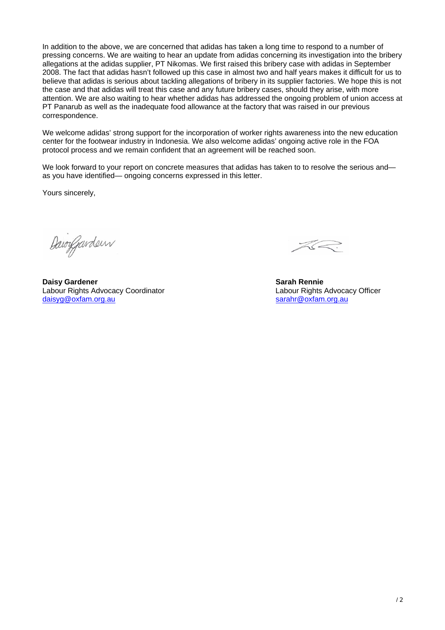In addition to the above, we are concerned that adidas has taken a long time to respond to a number of pressing concerns. We are waiting to hear an update from adidas concerning its investigation into the bribery allegations at the adidas supplier, PT Nikomas. We first raised this bribery case with adidas in September 2008. The fact that adidas hasn't followed up this case in almost two and half years makes it difficult for us to believe that adidas is serious about tackling allegations of bribery in its supplier factories. We hope this is not the case and that adidas will treat this case and any future bribery cases, should they arise, with more attention. We are also waiting to hear whether adidas has addressed the ongoing problem of union access at PT Panarub as well as the inadequate food allowance at the factory that was raised in our previous correspondence.

We welcome adidas' strong support for the incorporation of worker rights awareness into the new education center for the footwear industry in Indonesia. We also welcome adidas' ongoing active role in the FOA protocol process and we remain confident that an agreement will be reached soon.

We look forward to your report on concrete measures that adidas has taken to to resolve the serious and as you have identified— ongoing concerns expressed in this letter.

Yours sincerely,

DawyJurden

 $\asymp\,$ 

**Daisy Gardener Sarah Rennie Sarah Rennie Sarah Rennie Sarah Rennie Sarah Rennie Sarah Rennie Sarah Rennie Sarah Rennie Sarah Rennie Sarah Rennie Sarah Rennie Sarah Rennie Sarah Rennie Sarah Rennie Sarah Rennie Sarah Renni** Labour Rights Advocacy Coordinator<br>
daisyq@oxfam.org.au<br>
sarahr@oxfam.org.au<br>
sarahr@oxfam.org.au [daisyg@oxfam.org.au](mailto:daisyg@oxfam.org.au)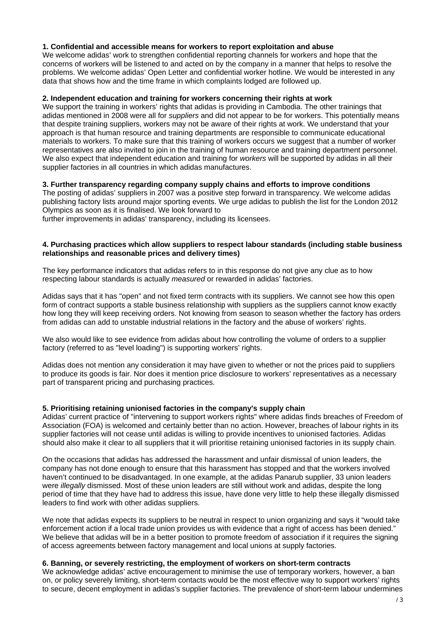## **1. Confidential and accessible means for workers to report exploitation and abuse**

We welcome adidas' work to strengthen confidential reporting channels for workers and hope that the concerns of workers will be listened to and acted on by the company in a manner that helps to resolve the problems. We welcome adidas' Open Letter and confidential worker hotline. We would be interested in any data that shows how and the time frame in which complaints lodged are followed up.

## **2. Independent education and training for workers concerning their rights at work**

We support the training in workers' rights that adidas is providing in Cambodia. The other trainings that adidas mentioned in 2008 were all for *suppliers* and did not appear to be for workers. This potentially means that despite training suppliers, workers may not be aware of their rights at work. We understand that your approach is that human resource and training departments are responsible to communicate educational materials to workers. To make sure that this training of workers occurs we suggest that a number of worker representatives are also invited to join in the training of human resource and training department personnel. We also expect that independent education and training for *workers* will be supported by adidas in all their supplier factories in all countries in which adidas manufactures.

## **3. Further transparency regarding company supply chains and efforts to improve conditions**

The posting of adidas' suppliers in 2007 was a positive step forward in transparency. We welcome adidas publishing factory lists around major sporting events. We urge adidas to publish the list for the London 2012 Olympics as soon as it is finalised. We look forward to

further improvements in adidas' transparency, including its licensees.

## **4. Purchasing practices which allow suppliers to respect labour standards (including stable business relationships and reasonable prices and delivery times)**

The key performance indicators that adidas refers to in this response do not give any clue as to how respecting labour standards is actually *measured* or rewarded in adidas' factories.

Adidas says that it has "open" and not fixed term contracts with its suppliers. We cannot see how this open form of contract supports a stable business relationship with suppliers as the suppliers cannot know exactly how long they will keep receiving orders. Not knowing from season to season whether the factory has orders from adidas can add to unstable industrial relations in the factory and the abuse of workers' rights.

We also would like to see evidence from adidas about how controlling the volume of orders to a supplier factory (referred to as "level loading") is supporting workers' rights.

Adidas does not mention any consideration it may have given to whether or not the prices paid to suppliers to produce its goods is fair. Nor does it mention price disclosure to workers' representatives as a necessary part of transparent pricing and purchasing practices.

# **5. Prioritising retaining unionised factories in the company's supply chain**

Adidas' current practice of "intervening to support workers rights" where adidas finds breaches of Freedom of Association (FOA) is welcomed and certainly better than no action. However, breaches of labour rights in its supplier factories will not cease until adidas is willing to provide incentives to unionised factories. Adidas should also make it clear to all suppliers that it will prioritise retaining unionised factories in its supply chain.

On the occasions that adidas has addressed the harassment and unfair dismissal of union leaders, the company has not done enough to ensure that this harassment has stopped and that the workers involved haven't continued to be disadvantaged. In one example, at the adidas Panarub supplier, 33 union leaders were *illegally* dismissed. Most of these union leaders are still without work and adidas, despite the long period of time that they have had to address this issue, have done very little to help these illegally dismissed leaders to find work with other adidas suppliers.

We note that adidas expects its suppliers to be neutral in respect to union organizing and says it "would take enforcement action if a local trade union provides us with evidence that a right of access has been denied." We believe that adidas will be in a better position to promote freedom of association if it requires the signing of access agreements between factory management and local unions at supply factories.

#### **6. Banning, or severely restricting, the employment of workers on short-term contracts**

We acknowledge adidas' active encouragement to minimise the use of temporary workers, however, a ban on, or policy severely limiting, short-term contacts would be the most effective way to support workers' rights to secure, decent employment in adidas's supplier factories. The prevalence of short-term labour undermines